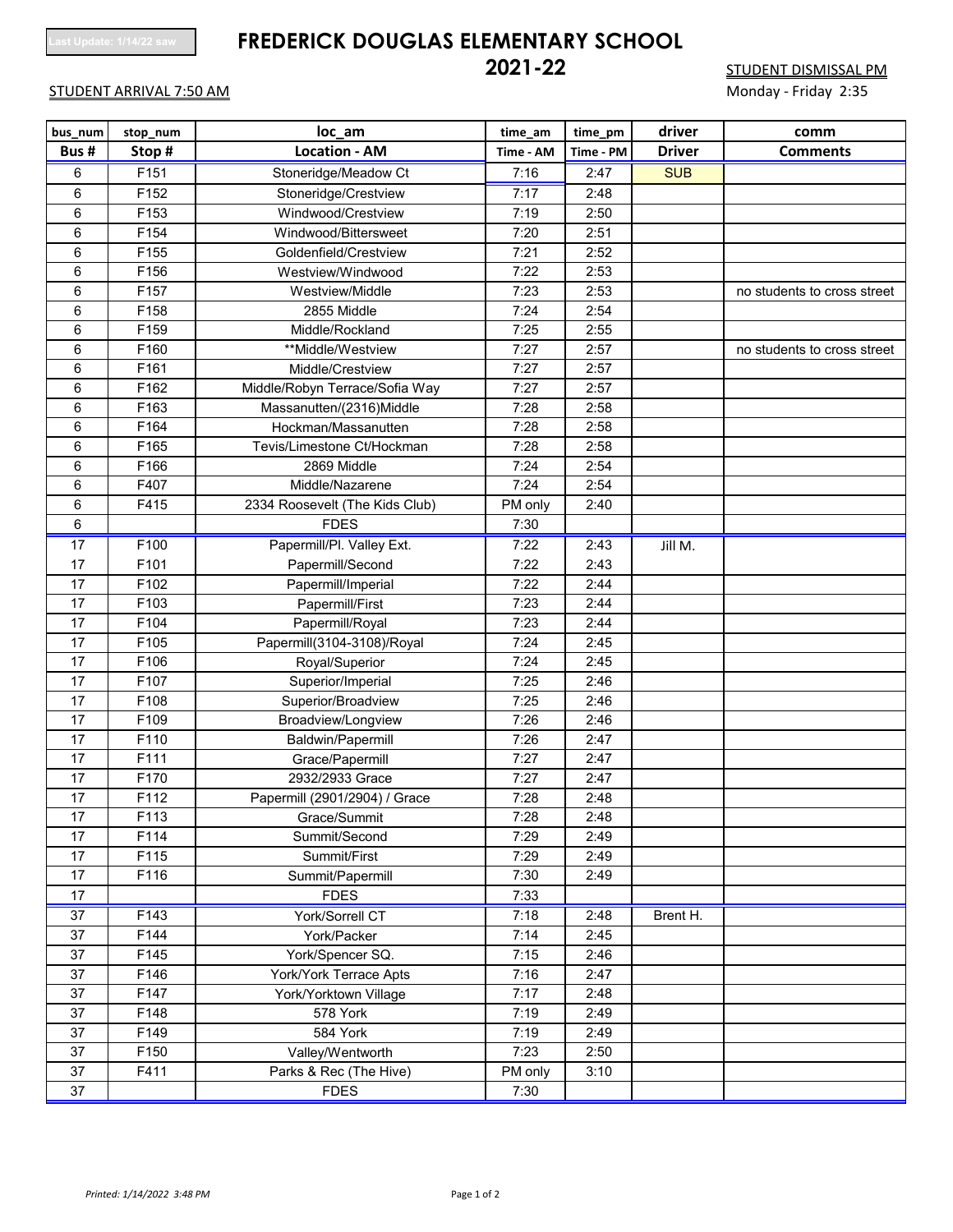# **Last Update: 1/14/22 saw FREDERICK DOUGLAS ELEMENTARY SCHOOL**

## STUDENT ARRIVAL 7:50 AM MONDER CONTROL TO A CONTROL TO A CONTROL TO MONDEY - Friday 2:35

**212 STUDENT DISMISSAL PM** 

| bus_num         | stop num | loc_am                         | time_am   | time_pm   | driver        | comm                        |
|-----------------|----------|--------------------------------|-----------|-----------|---------------|-----------------------------|
| Bus#            | Stop#    | <b>Location - AM</b>           | Time - AM | Time - PM | <b>Driver</b> | <b>Comments</b>             |
| 6               | F151     | Stoneridge/Meadow Ct           | 7:16      | 2:47      | <b>SUB</b>    |                             |
| 6               | F152     | Stoneridge/Crestview           | 7:17      | 2:48      |               |                             |
| 6               | F153     | Windwood/Crestview             | 7:19      | 2:50      |               |                             |
| 6               | F154     | Windwood/Bittersweet           | 7:20      | 2:51      |               |                             |
| 6               | F155     | Goldenfield/Crestview          | 7:21      | 2:52      |               |                             |
| 6               | F156     | Westview/Windwood              | 7:22      | 2:53      |               |                             |
| 6               | F157     | Westview/Middle                | 7:23      | 2:53      |               | no students to cross street |
| 6               | F158     | 2855 Middle                    | 7:24      | 2:54      |               |                             |
| 6               | F159     | Middle/Rockland                | 7:25      | 2:55      |               |                             |
| 6               | F160     | **Middle/Westview              | 7:27      | 2:57      |               | no students to cross street |
| 6               | F161     | Middle/Crestview               | 7:27      | 2:57      |               |                             |
| 6               | F162     | Middle/Robyn Terrace/Sofia Way | 7:27      | 2:57      |               |                             |
| 6               | F163     | Massanutten/(2316)Middle       | 7:28      | 2:58      |               |                             |
| 6               | F164     | Hockman/Massanutten            | 7:28      | 2:58      |               |                             |
| 6               | F165     | Tevis/Limestone Ct/Hockman     | 7:28      | 2:58      |               |                             |
| 6               | F166     | 2869 Middle                    | 7:24      | 2:54      |               |                             |
| 6               | F407     | Middle/Nazarene                | 7:24      | 2:54      |               |                             |
| 6               | F415     | 2334 Roosevelt (The Kids Club) | PM only   | 2:40      |               |                             |
| 6               |          | <b>FDES</b>                    | 7:30      |           |               |                             |
| 17              | F100     | Papermill/Pl. Valley Ext.      | 7:22      | 2:43      | Jill M.       |                             |
| 17              | F101     | Papermill/Second               | 7:22      | 2:43      |               |                             |
| 17              | F102     | Papermill/Imperial             | 7:22      | 2:44      |               |                             |
| 17              | F103     | Papermill/First                | 7:23      | 2:44      |               |                             |
| 17              | F104     | Papermill/Royal                | 7:23      | 2:44      |               |                             |
| 17              | F105     | Papermill(3104-3108)/Royal     | 7:24      | 2:45      |               |                             |
| 17              | F106     | Royal/Superior                 | 7:24      | 2:45      |               |                             |
| 17              | F107     | Superior/Imperial              | 7:25      | 2:46      |               |                             |
| 17              | F108     | Superior/Broadview             | 7:25      | 2:46      |               |                             |
| 17              | F109     | Broadview/Longview             | 7:26      | 2:46      |               |                             |
| 17              | F110     | Baldwin/Papermill              | 7:26      | 2:47      |               |                             |
| 17              | F111     | Grace/Papermill                | 7:27      | 2:47      |               |                             |
| 17              | F170     | 2932/2933 Grace                | 7:27      | 2:47      |               |                             |
| 17              | F112     | Papermill (2901/2904) / Grace  | 7:28      | 2:48      |               |                             |
| $17$            | F113     | Grace/Summit                   | 7:28      | 2:48      |               |                             |
| 17              | F114     | Summit/Second                  | 7:29      | 2:49      |               |                             |
| 17              | F115     | Summit/First                   | 7:29      | 2:49      |               |                             |
| 17              | F116     | Summit/Papermill               | 7:30      | 2:49      |               |                             |
| 17              |          | <b>FDES</b>                    | 7:33      |           |               |                             |
| $\overline{37}$ | F143     | <b>York/Sorrell CT</b>         | 7:18      | 2:48      | Brent H.      |                             |
| 37              | F144     | York/Packer                    | 7:14      | 2:45      |               |                             |
| 37              | F145     | York/Spencer SQ.               | 7:15      | 2:46      |               |                             |
| 37              | F146     | York/York Terrace Apts         | 7:16      | 2:47      |               |                             |
| 37              | F147     | York/Yorktown Village          | 7:17      | 2:48      |               |                             |
| 37              | F148     | 578 York                       | 7:19      | 2:49      |               |                             |
| 37              | F149     | 584 York                       | 7:19      | 2:49      |               |                             |
| 37              | F150     | Valley/Wentworth               | 7:23      | 2:50      |               |                             |
| 37              | F411     | Parks & Rec (The Hive)         | PM only   | 3:10      |               |                             |
| 37              |          | <b>FDES</b>                    | 7:30      |           |               |                             |